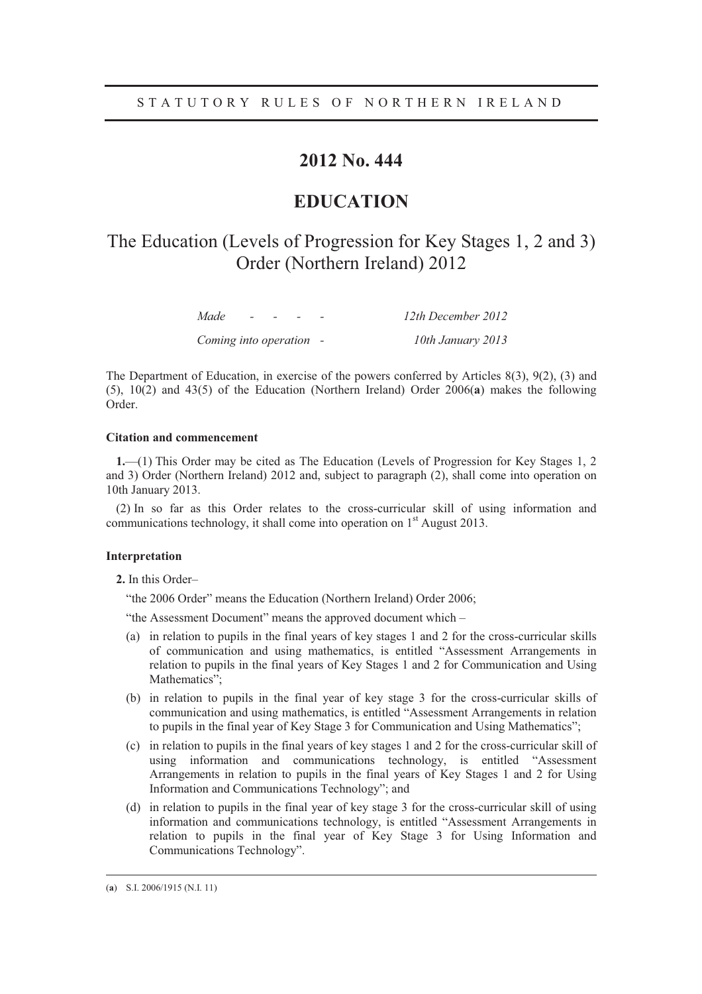### **2012 No. 444**

### **EDUCATION**

## The Education (Levels of Progression for Key Stages 1, 2 and 3) Order (Northern Ireland) 2012

| Made                    | $ -$ | $\sim$ | 12th December 2012 |
|-------------------------|------|--------|--------------------|
| Coming into operation - |      |        | 10th January 2013  |

The Department of Education, in exercise of the powers conferred by Articles 8(3), 9(2), (3) and (5), 10(2) and 43(5) of the Education (Northern Ireland) Order 2006(**a**) makes the following Order.

#### **Citation and commencement**

**1.**—(1) This Order may be cited as The Education (Levels of Progression for Key Stages 1, 2 and 3) Order (Northern Ireland) 2012 and, subject to paragraph (2), shall come into operation on 10th January 2013.

(2) In so far as this Order relates to the cross-curricular skill of using information and communications technology, it shall come into operation on 1<sup>st</sup> August 2013.

#### **Interpretation**

**2.** In this Order–

"the 2006 Order" means the Education (Northern Ireland) Order 2006;

- "the Assessment Document" means the approved document which –
- (a) in relation to pupils in the final years of key stages 1 and 2 for the cross-curricular skills of communication and using mathematics, is entitled "Assessment Arrangements in relation to pupils in the final years of Key Stages 1 and 2 for Communication and Using Mathematics";
- (b) in relation to pupils in the final year of key stage 3 for the cross-curricular skills of communication and using mathematics, is entitled "Assessment Arrangements in relation to pupils in the final year of Key Stage 3 for Communication and Using Mathematics";
- (c) in relation to pupils in the final years of key stages 1 and 2 for the cross-curricular skill of using information and communications technology, is entitled "Assessment Arrangements in relation to pupils in the final years of Key Stages 1 and 2 for Using Information and Communications Technology"; and
- (d) in relation to pupils in the final year of key stage 3 for the cross-curricular skill of using information and communications technology, is entitled "Assessment Arrangements in relation to pupils in the final year of Key Stage 3 for Using Information and Communications Technology".

 <sup>(</sup>**<sup>a</sup>**) S.I. 2006/1915 (N.I. 11)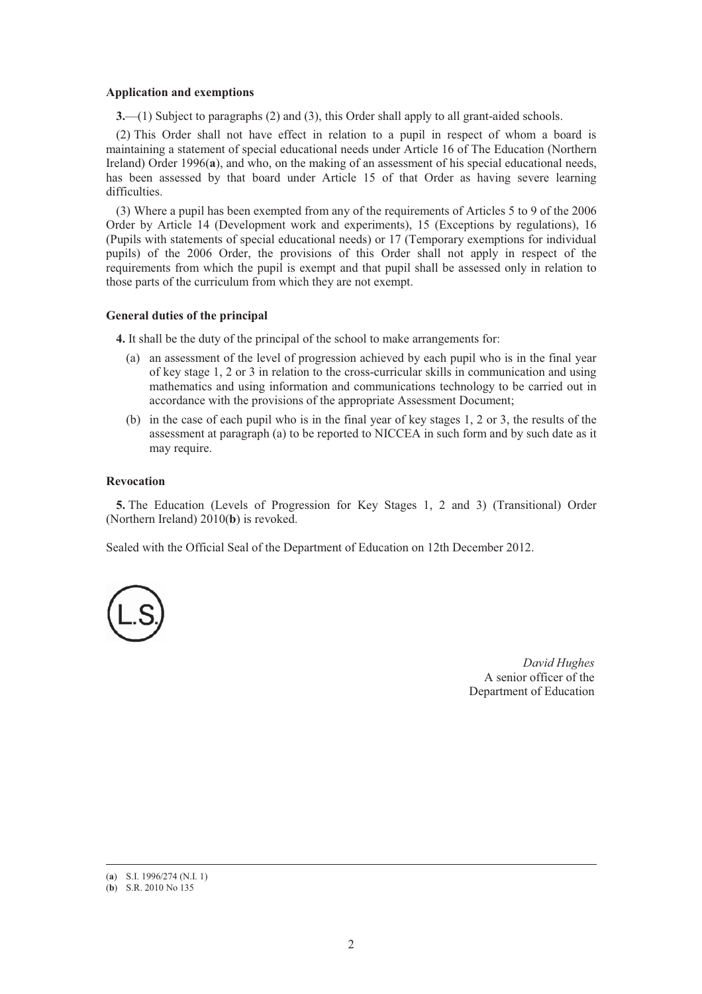#### **Application and exemptions**

**3.**—(1) Subject to paragraphs (2) and (3), this Order shall apply to all grant-aided schools.

(2) This Order shall not have effect in relation to a pupil in respect of whom a board is maintaining a statement of special educational needs under Article 16 of The Education (Northern Ireland) Order 1996(**a**), and who, on the making of an assessment of his special educational needs, has been assessed by that board under Article 15 of that Order as having severe learning difficulties.

(3) Where a pupil has been exempted from any of the requirements of Articles 5 to 9 of the 2006 Order by Article 14 (Development work and experiments), 15 (Exceptions by regulations), 16 (Pupils with statements of special educational needs) or 17 (Temporary exemptions for individual pupils) of the 2006 Order, the provisions of this Order shall not apply in respect of the requirements from which the pupil is exempt and that pupil shall be assessed only in relation to those parts of the curriculum from which they are not exempt.

#### **General duties of the principal**

**4.** It shall be the duty of the principal of the school to make arrangements for:

- (a) an assessment of the level of progression achieved by each pupil who is in the final year of key stage 1, 2 or 3 in relation to the cross-curricular skills in communication and using mathematics and using information and communications technology to be carried out in accordance with the provisions of the appropriate Assessment Document;
- (b) in the case of each pupil who is in the final year of key stages 1, 2 or 3, the results of the assessment at paragraph (a) to be reported to NICCEA in such form and by such date as it may require.

#### **Revocation**

**5.** The Education (Levels of Progression for Key Stages 1, 2 and 3) (Transitional) Order (Northern Ireland) 2010(**b**) is revoked.

Sealed with the Official Seal of the Department of Education on 12th December 2012.



*David Hughes* A senior officer of the Department of Education

 <sup>(</sup>**<sup>a</sup>**) S.I. 1996/274 (N.I. 1)

<sup>(</sup>**b**) S.R. 2010 No 135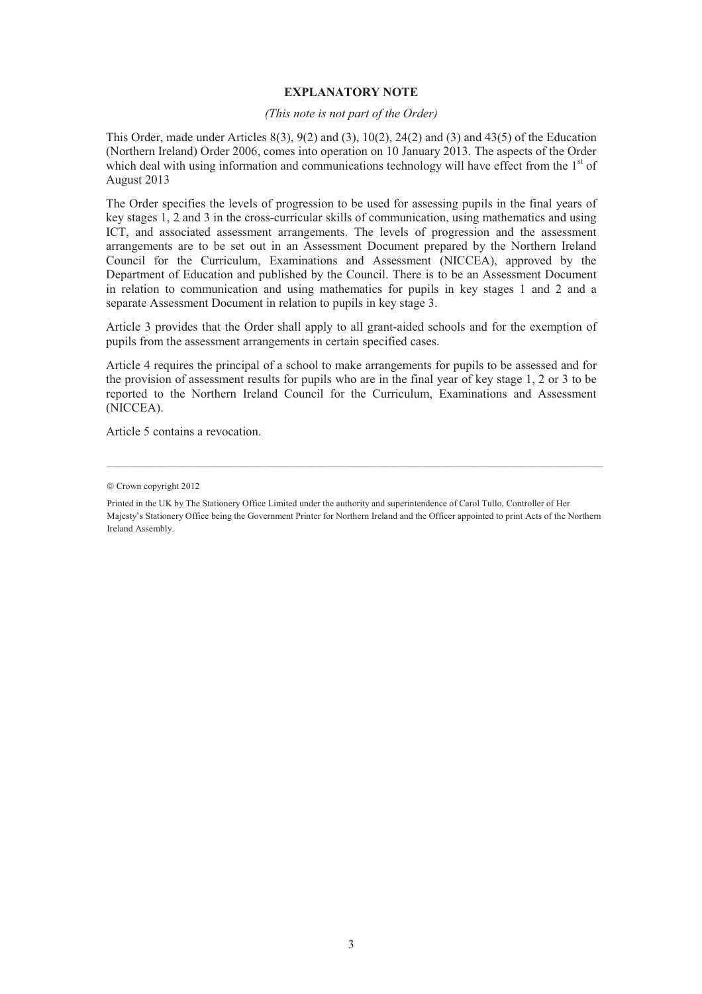#### **EXPLANATORY NOTE**

#### *(This note is not part of the Order)*

This Order, made under Articles  $8(3)$ ,  $9(2)$  and  $(3)$ ,  $10(2)$ ,  $24(2)$  and  $(3)$  and  $43(5)$  of the Education (Northern Ireland) Order 2006, comes into operation on 10 January 2013. The aspects of the Order which deal with using information and communications technology will have effect from the  $1<sup>st</sup>$  of August 2013

The Order specifies the levels of progression to be used for assessing pupils in the final years of key stages 1, 2 and 3 in the cross-curricular skills of communication, using mathematics and using ICT, and associated assessment arrangements. The levels of progression and the assessment arrangements are to be set out in an Assessment Document prepared by the Northern Ireland Council for the Curriculum, Examinations and Assessment (NICCEA), approved by the Department of Education and published by the Council. There is to be an Assessment Document in relation to communication and using mathematics for pupils in key stages 1 and 2 and a separate Assessment Document in relation to pupils in key stage 3.

Article 3 provides that the Order shall apply to all grant-aided schools and for the exemption of pupils from the assessment arrangements in certain specified cases.

Article 4 requires the principal of a school to make arrangements for pupils to be assessed and for the provision of assessment results for pupils who are in the final year of key stage 1, 2 or 3 to be reported to the Northern Ireland Council for the Curriculum, Examinations and Assessment (NICCEA).

Article 5 contains a revocation.

<sup>©</sup> Crown copyright 2012

Printed in the UK by The Stationery Office Limited under the authority and superintendence of Carol Tullo, Controller of Her Majesty's Stationery Office being the Government Printer for Northern Ireland and the Officer appointed to print Acts of the Northern Ireland Assembly.